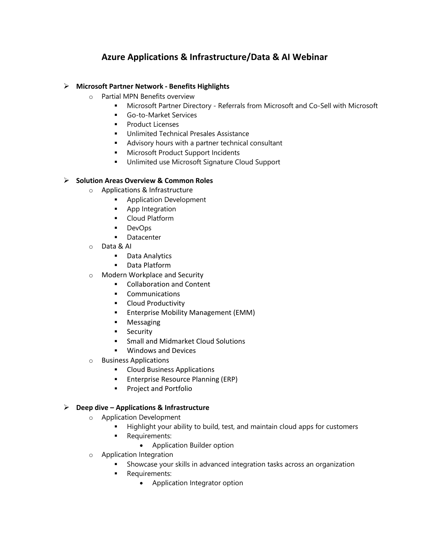# **Azure Applications & Infrastructure/Data & AI Webinar**

# ➢ **Microsoft Partner Network - Benefits Highlights**

- o Partial MPN Benefits overview
	- Microsoft Partner Directory Referrals from Microsoft and Co-Sell with Microsoft
	- Go-to-Market Services
	- Product Licenses
	- Unlimited Technical Presales Assistance
	- Advisory hours with a partner technical consultant
	- Microsoft Product Support Incidents
	- Unlimited use Microsoft Signature Cloud Support

### ➢ **Solution Areas Overview & Common Roles**

- o Applications & Infrastructure
	- Application Development
	- App Integration
	- Cloud Platform
	- DevOps
	- Datacenter
- o Data & AI
	- Data Analytics
	- Data Platform
- o Modern Workplace and Security
	- Collaboration and Content
	- Communications
	- Cloud Productivity
	- Enterprise Mobility Management (EMM)
	- Messaging
	- **■** Security
	- **EXECUTE:** Small and Midmarket Cloud Solutions
	- Windows and Devices
- o Business Applications
	- Cloud Business Applications
	- **Enterprise Resource Planning (ERP)**
	- Project and Portfolio

#### ➢ **Deep dive – Applications & Infrastructure**

- o Application Development
	- Highlight your ability to build, test, and maintain cloud apps for customers
	- Requirements:
		- Application Builder option
- o Application Integration
	- Showcase your skills in advanced integration tasks across an organization
	- Requirements:
		- Application Integrator option